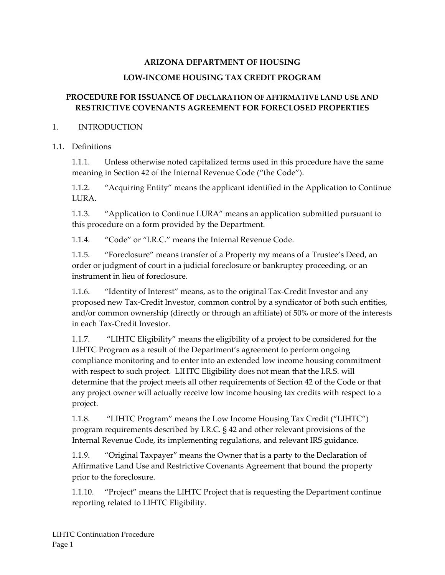#### **ARIZONA DEPARTMENT OF HOUSING**

#### **LOW‐INCOME HOUSING TAX CREDIT PROGRAM**

#### **PROCEDURE FOR ISSUANCE OF DECLARATION OF AFFIRMATIVE LAND USE AND RESTRICTIVE COVENANTS AGREEMENT FOR FORECLOSED PROPERTIES**

#### 1. INTRODUCTION

#### 1.1 Definitions

1.1.1. Unless otherwise noted capitalized terms used in this procedure have the same meaning in Section 42 of the Internal Revenue Code ("the Code").

1.1.2. "Acquiring Entity" means the applicant identified in the Application to Continue LURA.

1.1.3. "Application to Continue LURA" means an application submitted pursuant to this procedure on a form provided by the Department.

1.1.4. "Code" or "I.R.C." means the Internal Revenue Code.

1.1.5. "Foreclosure" means transfer of a Property my means of a Trustee's Deed, an order or judgment of court in a judicial foreclosure or bankruptcy proceeding, or an instrument in lieu of foreclosure.

1.1.6. "Identity of Interest" means, as to the original Tax-Credit Investor and any proposed new Tax‐Credit Investor, common control by a syndicator of both such entities, and/or common ownership (directly or through an affiliate) of 50% or more of the interests in each Tax‐Credit Investor.

1.1.7. "LIHTC Eligibility" means the eligibility of a project to be considered for the LIHTC Program as a result of the Department's agreement to perform ongoing compliance monitoring and to enter into an extended low income housing commitment with respect to such project. LIHTC Eligibility does not mean that the I.R.S. will determine that the project meets all other requirements of Section 42 of the Code or that any project owner will actually receive low income housing tax credits with respect to a project.

1.1.8. "LIHTC Program" means the Low Income Housing Tax Credit ("LIHTC") program requirements described by I.R.C. § 42 and other relevant provisions of the Internal Revenue Code, its implementing regulations, and relevant IRS guidance.

1.1.9. "Original Taxpayer" means the Owner that is a party to the Declaration of Affirmative Land Use and Restrictive Covenants Agreement that bound the property prior to the foreclosure.

1.1.10. "Project" means the LIHTC Project that is requesting the Department continue reporting related to LIHTC Eligibility.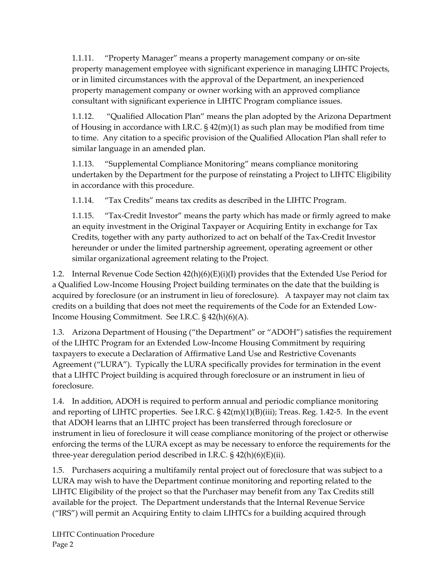1.1.11. "Property Manager" means a property management company or on‐site property management employee with significant experience in managing LIHTC Projects, or in limited circumstances with the approval of the Department, an inexperienced property management company or owner working with an approved compliance consultant with significant experience in LIHTC Program compliance issues.

1.1.12. "Qualified Allocation Plan" means the plan adopted by the Arizona Department of Housing in accordance with I.R.C.  $\S$  42(m)(1) as such plan may be modified from time to time. Any citation to a specific provision of the Qualified Allocation Plan shall refer to similar language in an amended plan.

1.1.13. "Supplemental Compliance Monitoring" means compliance monitoring undertaken by the Department for the purpose of reinstating a Project to LIHTC Eligibility in accordance with this procedure.

1.1.14. "Tax Credits" means tax credits as described in the LIHTC Program.

1.1.15. "Tax‐Credit Investor" means the party which has made or firmly agreed to make an equity investment in the Original Taxpayer or Acquiring Entity in exchange for Tax Credits, together with any party authorized to act on behalf of the Tax‐Credit Investor hereunder or under the limited partnership agreement, operating agreement or other similar organizational agreement relating to the Project.

1.2. Internal Revenue Code Section  $42(h)(6)(E)(i)(I)$  provides that the Extended Use Period for a Qualified Low‐Income Housing Project building terminates on the date that the building is acquired by foreclosure (or an instrument in lieu of foreclosure). A taxpayer may not claim tax credits on a building that does not meet the requirements of the Code for an Extended Low‐ Income Housing Commitment. See I.R.C. § 42(h)(6)(A).

1.3. Arizona Department of Housing ("the Department" or "ADOH") satisfies the requirement of the LIHTC Program for an Extended Low‐Income Housing Commitment by requiring taxpayers to execute a Declaration of Affirmative Land Use and Restrictive Covenants Agreement ("LURA"). Typically the LURA specifically provides for termination in the event that a LIHTC Project building is acquired through foreclosure or an instrument in lieu of foreclosure.

1.4. In addition, ADOH is required to perform annual and periodic compliance monitoring and reporting of LIHTC properties. See I.R.C. § 42(m)(1)(B)(iii); Treas. Reg. 1.42‐5. In the event that ADOH learns that an LIHTC project has been transferred through foreclosure or instrument in lieu of foreclosure it will cease compliance monitoring of the project or otherwise enforcing the terms of the LURA except as may be necessary to enforce the requirements for the three‐year deregulation period described in I.R.C. § 42(h)(6)(E)(ii).

1.5. Purchasers acquiring a multifamily rental project out of foreclosure that was subject to a LURA may wish to have the Department continue monitoring and reporting related to the LIHTC Eligibility of the project so that the Purchaser may benefit from any Tax Credits still available for the project. The Department understands that the Internal Revenue Service ("IRS") will permit an Acquiring Entity to claim LIHTCs for a building acquired through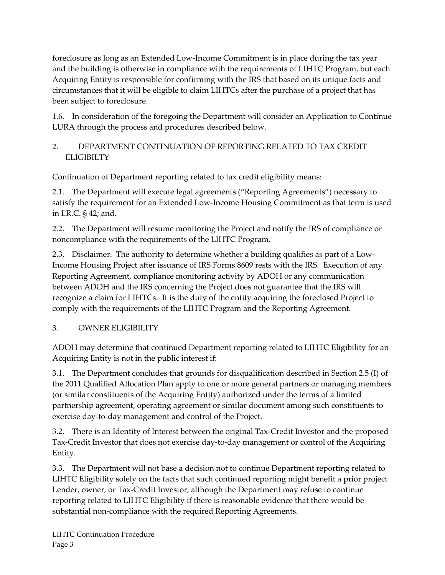foreclosure as long as an Extended Low‐Income Commitment is in place during the tax year and the building is otherwise in compliance with the requirements of LIHTC Program, but each Acquiring Entity is responsible for confirming with the IRS that based on its unique facts and circumstances that it will be eligible to claim LIHTCs after the purchase of a project that has been subject to foreclosure.

1.6. In consideration of the foregoing the Department will consider an Application to Continue LURA through the process and procedures described below.

# 2. DEPARTMENT CONTINUATION OF REPORTING RELATED TO TAX CREDIT ELIGIBILTY

Continuation of Department reporting related to tax credit eligibility means:

2.1. The Department will execute legal agreements ("Reporting Agreements") necessary to satisfy the requirement for an Extended Low-Income Housing Commitment as that term is used in I.R.C. § 42; and,

2.2. The Department will resume monitoring the Project and notify the IRS of compliance or noncompliance with the requirements of the LIHTC Program.

2.3. Disclaimer. The authority to determine whether a building qualifies as part of a Low-Income Housing Project after issuance of IRS Forms 8609 rests with the IRS. Execution of any Reporting Agreement, compliance monitoring activity by ADOH or any communication between ADOH and the IRS concerning the Project does not guarantee that the IRS will recognize a claim for LIHTCs. It is the duty of the entity acquiring the foreclosed Project to comply with the requirements of the LIHTC Program and the Reporting Agreement.

# 3. OWNER ELIGIBILITY

ADOH may determine that continued Department reporting related to LIHTC Eligibility for an Acquiring Entity is not in the public interest if:

3.1. The Department concludes that grounds for disqualification described in Section 2.5 (I) of the 2011 Qualified Allocation Plan apply to one or more general partners or managing members (or similar constituents of the Acquiring Entity) authorized under the terms of a limited partnership agreement, operating agreement or similar document among such constituents to exercise day‐to‐day management and control of the Project.

3.2. There is an Identity of Interest between the original Tax‐Credit Investor and the proposed Tax‐Credit Investor that does not exercise day‐to‐day management or control of the Acquiring Entity.

3.3. The Department will not base a decision not to continue Department reporting related to LIHTC Eligibility solely on the facts that such continued reporting might benefit a prior project Lender, owner, or Tax‐Credit Investor, although the Department may refuse to continue reporting related to LIHTC Eligibility if there is reasonable evidence that there would be substantial non-compliance with the required Reporting Agreements.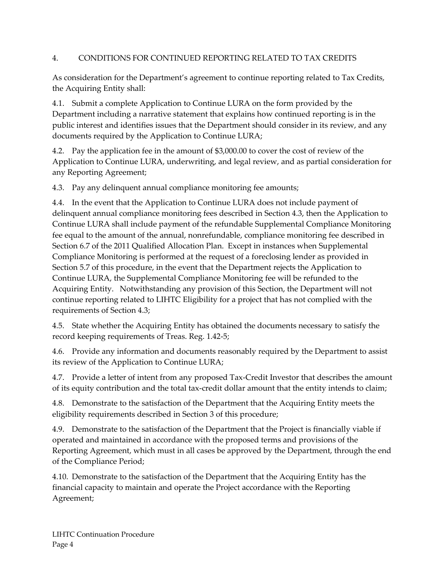# 4. CONDITIONS FOR CONTINUED REPORTING RELATED TO TAX CREDITS

As consideration for the Department's agreement to continue reporting related to Tax Credits, the Acquiring Entity shall:

4.1. Submit a complete Application to Continue LURA on the form provided by the Department including a narrative statement that explains how continued reporting is in the public interest and identifies issues that the Department should consider in its review, and any documents required by the Application to Continue LURA;

4.2. Pay the application fee in the amount of \$3,000.00 to cover the cost of review of the Application to Continue LURA, underwriting, and legal review, and as partial consideration for any Reporting Agreement;

4.3. Pay any delinquent annual compliance monitoring fee amounts;

4.4. In the event that the Application to Continue LURA does not include payment of delinquent annual compliance monitoring fees described in Section 4.3, then the Application to Continue LURA shall include payment of the refundable Supplemental Compliance Monitoring fee equal to the amount of the annual, nonrefundable, compliance monitoring fee described in Section 6.7 of the 2011 Qualified Allocation Plan. Except in instances when Supplemental Compliance Monitoring is performed at the request of a foreclosing lender as provided in Section 5.7 of this procedure, in the event that the Department rejects the Application to Continue LURA, the Supplemental Compliance Monitoring fee will be refunded to the Acquiring Entity. Notwithstanding any provision of this Section, the Department will not continue reporting related to LIHTC Eligibility for a project that has not complied with the requirements of Section 4.3;

4.5. State whether the Acquiring Entity has obtained the documents necessary to satisfy the record keeping requirements of Treas. Reg. 1.42‐5;

4.6. Provide any information and documents reasonably required by the Department to assist its review of the Application to Continue LURA;

4.7. Provide a letter of intent from any proposed Tax-Credit Investor that describes the amount of its equity contribution and the total tax‐credit dollar amount that the entity intends to claim;

4.8. Demonstrate to the satisfaction of the Department that the Acquiring Entity meets the eligibility requirements described in Section 3 of this procedure;

4.9. Demonstrate to the satisfaction of the Department that the Project is financially viable if operated and maintained in accordance with the proposed terms and provisions of the Reporting Agreement, which must in all cases be approved by the Department, through the end of the Compliance Period;

4.10. Demonstrate to the satisfaction of the Department that the Acquiring Entity has the financial capacity to maintain and operate the Project accordance with the Reporting Agreement;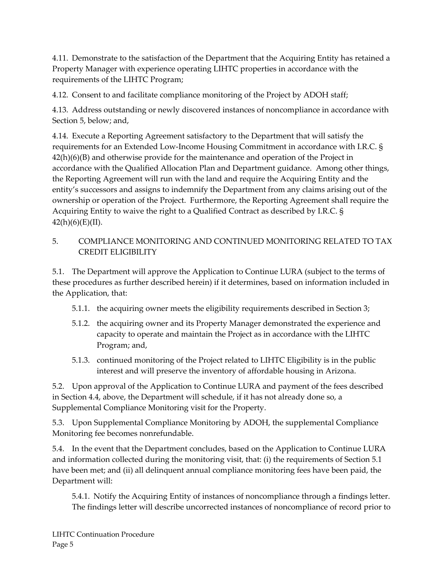4.11. Demonstrate to the satisfaction of the Department that the Acquiring Entity has retained a Property Manager with experience operating LIHTC properties in accordance with the requirements of the LIHTC Program;

4.12. Consent to and facilitate compliance monitoring of the Project by ADOH staff;

4.13. Address outstanding or newly discovered instances of noncompliance in accordance with Section 5, below; and,

4.14. Execute a Reporting Agreement satisfactory to the Department that will satisfy the requirements for an Extended Low‐Income Housing Commitment in accordance with I.R.C. § 42(h)(6)(B) and otherwise provide for the maintenance and operation of the Project in accordance with the Qualified Allocation Plan and Department guidance. Among other things, the Reporting Agreement will run with the land and require the Acquiring Entity and the entity's successors and assigns to indemnify the Department from any claims arising out of the ownership or operation of the Project. Furthermore, the Reporting Agreement shall require the Acquiring Entity to waive the right to a Qualified Contract as described by I.R.C. §  $42(h)(6)(E)(II).$ 

## 5. COMPLIANCE MONITORING AND CONTINUED MONITORING RELATED TO TAX CREDIT ELIGIBILITY

5.1. The Department will approve the Application to Continue LURA (subject to the terms of these procedures as further described herein) if it determines, based on information included in the Application, that:

- 5.1.1. the acquiring owner meets the eligibility requirements described in Section 3;
- 5.1.2. the acquiring owner and its Property Manager demonstrated the experience and capacity to operate and maintain the Project as in accordance with the LIHTC Program; and,
- 5.1.3. continued monitoring of the Project related to LIHTC Eligibility is in the public interest and will preserve the inventory of affordable housing in Arizona.

5.2. Upon approval of the Application to Continue LURA and payment of the fees described in Section 4.4, above, the Department will schedule, if it has not already done so, a Supplemental Compliance Monitoring visit for the Property.

5.3. Upon Supplemental Compliance Monitoring by ADOH, the supplemental Compliance Monitoring fee becomes nonrefundable.

5.4. In the event that the Department concludes, based on the Application to Continue LURA and information collected during the monitoring visit, that: (i) the requirements of Section 5.1 have been met; and (ii) all delinquent annual compliance monitoring fees have been paid, the Department will:

5.4.1. Notify the Acquiring Entity of instances of noncompliance through a findings letter. The findings letter will describe uncorrected instances of noncompliance of record prior to